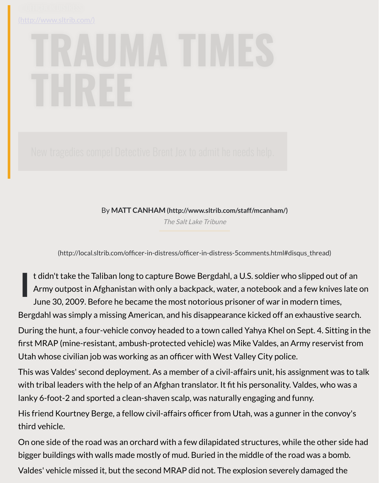By **MATT CANHAM (http://www.sltrib.com/staff/mcanham/)**

The Salt Lake Tribune

(http://local.sltrib.com/officer-in-distress/officer-in-distress-5comments.html#disqus\_thr

**I** t didn't take the Talib[an long to capture Bowe Bergdahl, a U.S. soldier wh](http://www.sltrib.com/staff/mcanham/)o slippe Army outpost in Afghanistan with o[nly a backpack, wa](https://www.sltrib.com/)ter, a notebook and a few June 30, 2009. Before he became the most notorious prisoner of war in modern Bergdahl was simply a missing American, and his disappearance kicked off an exhaustive search. During the hunt, a four-vehicle convoy headed to a town called Yahya Khel on Sept. first MRAP (mine-resistant, ambush-protected vehicle) was Mike Valdes, an Army re Utah whose civilian job was working as an officer with West Valley City police. This was Valdes' second deployment. As a member of a civil-affairs unit, his assignm with tribal leaders with the help of an Afghan translator. It fit his personality. Valdes, lanky 6-foot-2 and sported a clean-shaven scalp, was naturally engaging and funny.

His friend Kourtney Berge, a fellow civil-affairs officer from Utah, was a gunner in the third vehicle.

On one side of the road was an orchard with a few dilapidated structures, while the bigger buildings with walls made mostly of mud. Buried in the middle of the road wa Valdes' vehicle missed it, but the second MRAP did not. The explosion severely damaged the second MRAP did not.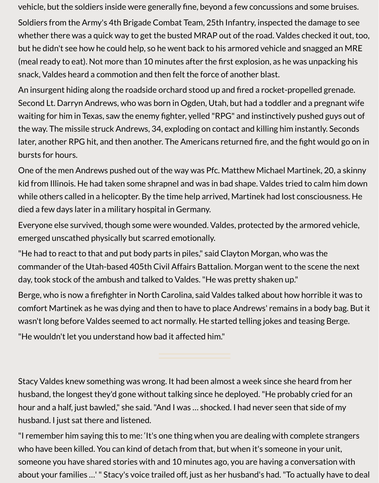vehicle, but the soldiers inside were generally fine, beyond a few concussions and some bruises.

Soldiers from the Army's 4th Brigade Combat Team, 25th Infantry, inspected the damage to see whether there was a quick way to get the busted MRAP out of the road. Valdes checked it out, too, but he didn't see how he could help, so he went back to his armored vehicle and snagged an MRE (meal ready to eat). Not more than 10 minutes after the first explosion, as he was unpacking his snack, Valdes heard a commotion and then felt the force of another blast.

An insurgent hiding along the roadside orchard stood up and fired a rocket-propelled grenade. Second Lt. Darryn Andrews, who was born in Ogden, Utah, but had a toddler and a pregnant wife waiting for him in Texas, saw the enemy fighter, yelled "RPG" and instinctively pushed guys out of the way. The missile struck Andrews, 34, exploding on contact and killing him instantly. Seconds later, another RPG hit, and then another. The Americans returned fire, and the fight would go on in bursts for hours.

One of the men Andrews pushed out of the way was Pfc. Matthew Michael Martinek, 20, a skinny kid from Illinois. He had taken some shrapnel and was in bad shape. Valdes tried to calm him down while others called in a helicopter. By the time help arrived, Martinek had lost consciousness. He died a few days later in a military hospital in Germany.

Everyone else survived, though some were wounded. Valdes, protected by the armored vehicle, emerged unscathed physically but scarred emotionally.

"He had to react to that and put body parts in piles," said Clayton Morgan, who was the commander of the Utah-based 405th Civil Affairs Battalion. Morgan went to the scene the next day, took stock of the ambush and talked to Valdes. "He was pretty shaken up."

Berge, who is now a firefighter in North Carolina, said Valdes talked about how horrible it was to comfort Martinek as he was dying and then to have to place Andrews' remains in a body bag. But it wasn't long before Valdes seemed to act normally. He started telling jokes and teasing Berge.

"He wouldn't let you understand how bad it affected him."

Stacy Valdes knew something was wrong. It had been almost a week since she heard from her husband, the longest they'd gone without talking since he deployed. "He probably cried for an hour and a half, just bawled," she said. "And I was … shocked. I had never seen that side of my husband. I just sat there and listened.

"I remember him saying this to me: 'It's one thing when you are dealing with complete strangers who have been killed. You can kind of detach from that, but when it's someone in your unit, someone you have shared stories with and 10 minutes ago, you are having a conversation with about your families …' " Stacy's voice trailed off, just as her husband's had. "To actually have to deal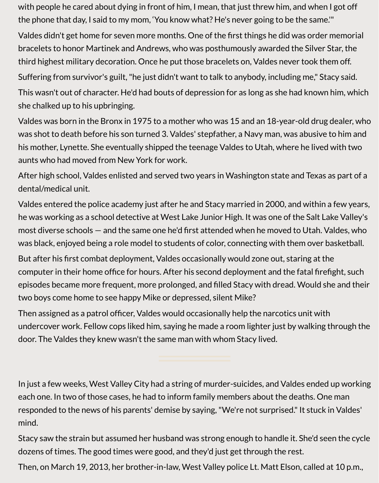with people he cared about dying in front of him, I mean, that just threw him, and when I got off the phone that day, I said to my mom, 'You know what? He's never going to be the same.'"

Valdes didn't get home for seven more months. One of the first things he did was order memorial bracelets to honor Martinek and Andrews, who was posthumously awarded the Silver Star, the third highest military decoration. Once he put those bracelets on, Valdes never took them off.

Suffering from survivor's guilt, "he just didn't want to talk to anybody, including me," Stacy said.

This wasn't out of character. He'd had bouts of depression for as long as she had known him, which she chalked up to his upbringing.

Valdes was born in the Bronx in 1975 to a mother who was 15 and an 18-year-old drug dealer, who was shot to death before his son turned 3. Valdes' stepfather, a Navy man, was abusive to him and his mother, Lynette. She eventually shipped the teenage Valdes to Utah, where he lived with two aunts who had moved from New York for work.

After high school, Valdes enlisted and served two years in Washington state and Texas as part of a dental/medical unit.

Valdes entered the police academy just after he and Stacy married in 2000, and within a few years, he was working as a school detective at West Lake Junior High. It was one of the Salt Lake Valley's most diverse schools — and the same one he'd first attended when he moved to Utah. Valdes, who was black, enjoyed being a role model to students of color, connecting with them over basketball.

But after his first combat deployment, Valdes occasionally would zone out, staring at the computer in their home office for hours. After his second deployment and the fatal firefight, such episodes became more frequent, more prolonged, and filled Stacy with dread. Would she and their two boys come home to see happy Mike or depressed, silent Mike?

Then assigned as a patrol officer, Valdes would occasionally help the narcotics unit with undercover work. Fellow cops liked him, saying he made a room lighter just by walking through the door. The Valdes they knew wasn't the same man with whom Stacy lived.

In just a few weeks, West Valley City had a string of murder-suicides, and Valdes ended up working each one. In two of those cases, he had to inform family members about the deaths. One man responded to the news of his parents' demise by saying, "We're not surprised." It stuck in Valdes' mind.

Stacy saw the strain but assumed her husband was strong enough to handle it. She'd seen the cycle dozens of times. The good times were good, and they'd just get through the rest.

Then, on March 19, 2013, her brother-in-law, West Valley police Lt. Matt Elson, called at 10 p.m.,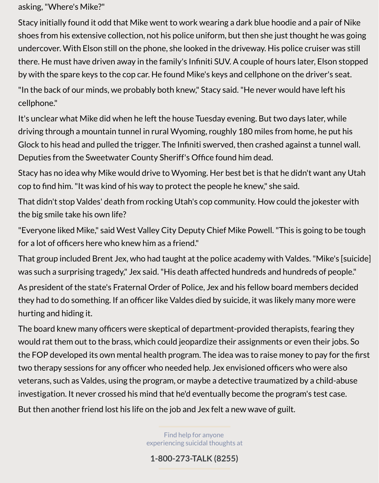asking, "Where's Mike?"

Stacy initially found it odd that Mike went to work wearing a dark blue hoodie and a pair of Nike shoes from his extensive collection, not his police uniform, but then she just thought he was going undercover. With Elson still on the phone, she looked in the driveway. His police cruiser was still there. He must have driven away in the family's Infiniti SUV. A couple of hours later, Elson stopped by with the spare keys to the cop car. He found Mike's keys and cellphone on the driver's seat.

"In the back of our minds, we probably both knew," Stacy said. "He never would have left his cellphone."

It's unclear what Mike did when he left the house Tuesday evening. But two days later, while driving through a mountain tunnel in rural Wyoming, roughly 180 miles from home, he put his Glock to his head and pulled the trigger. The Infiniti swerved, then crashed against a tunnel wall. Deputies from the Sweetwater County Sheriff's Office found him dead.

Stacy has no idea why Mike would drive to Wyoming. Her best bet is that he didn't want any Utah cop to find him. "It was kind of his way to protect the people he knew," she said.

That didn't stop Valdes' death from rocking Utah's cop community. How could the jokester with the big smile take his own life?

"Everyone liked Mike," said West Valley City Deputy Chief Mike Powell. "This is going to be tough for a lot of officers here who knew him as a friend."

That group included Brent Jex, who had taught at the police academy with Valdes. "Mike's [suicide] was such a surprising tragedy," Jex said. "His death affected hundreds and hundreds of people."

As president of the state's Fraternal Order of Police, Jex and his fellow board members decided they had to do something. If an officer like Valdes died by suicide, it was likely many more were hurting and hiding it.

The board knew many officers were skeptical of department-provided therapists, fearing they would rat them out to the brass, which could jeopardize their assignments or even their jobs. So the FOP developed its own mental health program. The idea was to raise money to pay for the first two therapy sessions for any officer who needed help. Jex envisioned officers who were also veterans, such as Valdes, using the program, or maybe a detective traumatized by a child-abuse investigation. It never crossed his mind that he'd eventually become the program's test case.

But then another friend lost his life on the job and Jex felt a new wave of guilt.

Find help for anyone experiencing suicidal thoughts at

**1-800-273-TALK (8255)**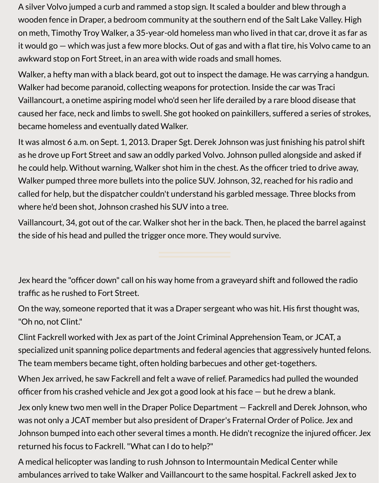A silver Volvo jumped a curb and rammed a stop sign. It scaled a boulder and blew through a wooden fence in Draper, a bedroom community at the southern end of the Salt Lake Valley. High on meth, Timothy Troy Walker, a 35-year-old homeless man who lived in that car, drove it as far as it would go — which was just a few more blocks. Out of gas and with a flat tire, his Volvo came to an awkward stop on Fort Street, in an area with wide roads and small homes.

Walker, a hefty man with a black beard, got out to inspect the damage. He was carrying a handgun. Walker had become paranoid, collecting weapons for protection. Inside the car was Traci Vaillancourt, a onetime aspiring model who'd seen her life derailed by a rare blood disease that caused her face, neck and limbs to swell. She got hooked on painkillers, suffered a series of strokes, became homeless and eventually dated Walker.

It was almost 6 a.m. on Sept. 1, 2013. Draper Sgt. Derek Johnson was just finishing his patrol shift as he drove up Fort Street and saw an oddly parked Volvo. Johnson pulled alongside and asked if he could help. Without warning, Walker shot him in the chest. As the officer tried to drive away, Walker pumped three more bullets into the police SUV. Johnson, 32, reached for his radio and called for help, but the dispatcher couldn't understand his garbled message. Three blocks from where he'd been shot, Johnson crashed his SUV into a tree.

Vaillancourt, 34, got out of the car. Walker shot her in the back. Then, he placed the barrel against the side of his head and pulled the trigger once more. They would survive.

Jex heard the "officer down" call on his way home from a graveyard shift and followed the radio traffic as he rushed to Fort Street.

On the way, someone reported that it was a Draper sergeant who was hit. His first thought was, "Oh no, not Clint."

Clint Fackrell worked with Jex as part of the Joint Criminal Apprehension Team, or JCAT, a specialized unit spanning police departments and federal agencies that aggressively hunted felons. The team members became tight, often holding barbecues and other get-togethers.

When Jex arrived, he saw Fackrell and felt a wave of relief. Paramedics had pulled the wounded officer from his crashed vehicle and Jex got a good look at his face — but he drew a blank.

Jex only knew two men well in the Draper Police Department — Fackrell and Derek Johnson, who was not only a JCAT member but also president of Draper's Fraternal Order of Police. Jex and Johnson bumped into each other several times a month. He didn't recognize the injured officer. Jex returned his focus to Fackrell. "What can I do to help?"

A medical helicopter was landing to rush Johnson to Intermountain Medical Center while ambulances arrived to take Walker and Vaillancourt to the same hospital. Fackrell asked Jex to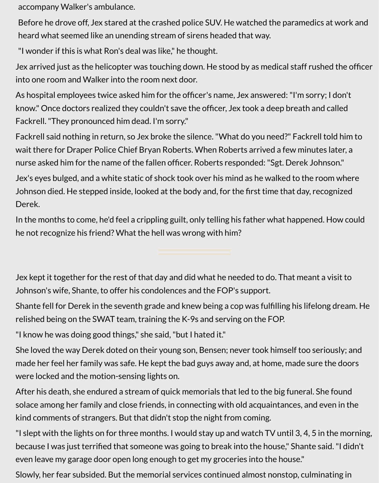accompany Walker's ambulance.

Before he drove off, Jex stared at the crashed police SUV. He watched the paramedics at work and heard what seemed like an unending stream of sirens headed that way.

"I wonder if this is what Ron's deal was like," he thought.

Jex arrived just as the helicopter was touching down. He stood by as medical staff rushed the officer into one room and Walker into the room next door.

As hospital employees twice asked him for the officer's name, Jex answered: "I'm sorry; I don't know." Once doctors realized they couldn't save the officer, Jex took a deep breath and called Fackrell. "They pronounced him dead. I'm sorry."

Fackrell said nothing in return, so Jex broke the silence. "What do you need?" Fackrell told him to wait there for Draper Police Chief Bryan Roberts. When Roberts arrived a few minutes later, a nurse asked him for the name of the fallen officer. Roberts responded: "Sgt. Derek Johnson."

Jex's eyes bulged, and a white static of shock took over his mind as he walked to the room where Johnson died. He stepped inside, looked at the body and, for the first time that day, recognized Derek.

In the months to come, he'd feel a crippling guilt, only telling his father what happened. How could he not recognize his friend? What the hell was wrong with him?

Jex kept it together for the rest of that day and did what he needed to do. That meant a visit to Johnson's wife, Shante, to offer his condolences and the FOP's support.

Shante fell for Derek in the seventh grade and knew being a cop was fulfilling his lifelong dream. He relished being on the SWAT team, training the K-9s and serving on the FOP.

"I know he was doing good things," she said, "but I hated it."

She loved the way Derek doted on their young son, Bensen; never took himself too seriously; and made her feel her family was safe. He kept the bad guys away and, at home, made sure the doors were locked and the motion-sensing lights on.

After his death, she endured a stream of quick memorials that led to the big funeral. She found solace among her family and close friends, in connecting with old acquaintances, and even in the kind comments of strangers. But that didn't stop the night from coming.

"I slept with the lights on for three months. I would stay up and watch TV until 3, 4, 5 in the morning, because I was just terrified that someone was going to break into the house," Shante said. "I didn't even leave my garage door open long enough to get my groceries into the house."

Slowly, her fear subsided. But the memorial services continued almost nonstop, culminating in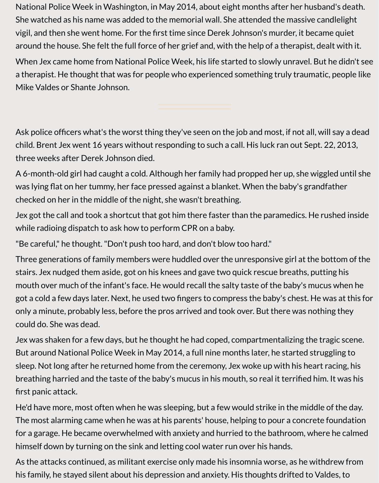National Police Week in Washington, in May 2014, about eight months after her husband's death. She watched as his name was added to the memorial wall. She attended the massive candlelight vigil, and then she went home. For the first time since Derek Johnson's murder, it became quiet around the house. She felt the full force of her grief and, with the help of a therapist, dealt with it.

When Jex came home from National Police Week, his life started to slowly unravel. But he didn't see a therapist. He thought that was for people who experienced something truly traumatic, people like Mike Valdes or Shante Johnson.

Ask police officers what's the worst thing they've seen on the job and most, if not all, will say a dead child. Brent Jex went 16 years without responding to such a call. His luck ran out Sept. 22, 2013, three weeks after Derek Johnson died.

A 6-month-old girl had caught a cold. Although her family had propped her up, she wiggled until she was lying flat on her tummy, her face pressed against a blanket. When the baby's grandfather checked on her in the middle of the night, she wasn't breathing.

Jex got the call and took a shortcut that got him there faster than the paramedics. He rushed inside while radioing dispatch to ask how to perform CPR on a baby.

"Be careful," he thought. "Don't push too hard, and don't blow too hard."

Three generations of family members were huddled over the unresponsive girl at the bottom of the stairs. Jex nudged them aside, got on his knees and gave two quick rescue breaths, putting his mouth over much of the infant's face. He would recall the salty taste of the baby's mucus when he got a cold a few days later. Next, he used two fingers to compress the baby's chest. He was at this for only a minute, probably less, before the pros arrived and took over. But there was nothing they could do. She was dead.

Jex was shaken for a few days, but he thought he had coped, compartmentalizing the tragic scene. But around National Police Week in May 2014, a full nine months later, he started struggling to sleep. Not long after he returned home from the ceremony, Jex woke up with his heart racing, his breathing harried and the taste of the baby's mucus in his mouth, so real it terrified him. It was his first panic attack.

He'd have more, most often when he was sleeping, but a few would strike in the middle of the day. The most alarming came when he was at his parents' house, helping to pour a concrete foundation for a garage. He became overwhelmed with anxiety and hurried to the bathroom, where he calmed himself down by turning on the sink and letting cool water run over his hands.

As the attacks continued, as militant exercise only made his insomnia worse, as he withdrew from his family, he stayed silent about his depression and anxiety. His thoughts drifted to Valdes, to